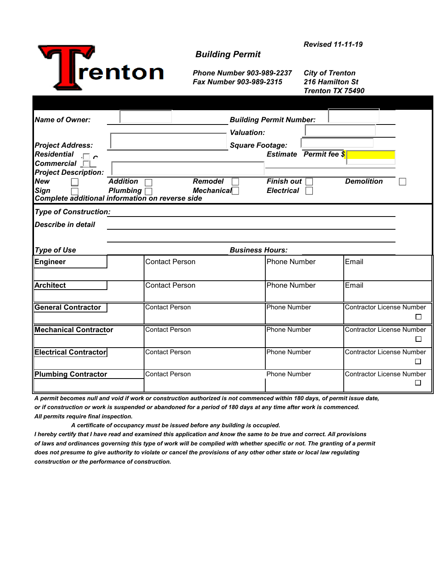

## *Building Permit*

*Phone Number 903-989-2237 City of Trenton Fax Number 903-989-2315 216 Hamilton St*

*Trenton TX 75490*

| <b>Name of Owner:</b><br><b>Project Address:</b><br><b>Residential</b><br>$\Box$ c<br>$Commercial$                             |                                                        | <b>Building Permit Number:</b><br><b>Valuation:</b><br><b>Square Footage:</b><br><b>Estimate</b> Permit fee \$ |                                  |
|--------------------------------------------------------------------------------------------------------------------------------|--------------------------------------------------------|----------------------------------------------------------------------------------------------------------------|----------------------------------|
| <b>Project Description:</b><br><b>New</b><br><b>Addition</b><br><b>Sign</b><br>Complete additional information on reverse side | <b>Remodel</b><br><b>Plumbing</b><br><b>Mechanical</b> | <b>Finish out</b><br><b>Electrical</b>                                                                         | <b>Demolition</b>                |
| <b>Type of Construction:</b><br><b>Describe in detail</b>                                                                      |                                                        |                                                                                                                |                                  |
| <b>Type of Use</b>                                                                                                             |                                                        | <b>Business Hours:</b>                                                                                         |                                  |
| <b>Engineer</b>                                                                                                                | <b>Contact Person</b>                                  | <b>Phone Number</b>                                                                                            | Email                            |
| <b>Architect</b>                                                                                                               | <b>Contact Person</b>                                  | <b>Phone Number</b>                                                                                            | Email                            |
| <b>General Contractor</b>                                                                                                      | <b>Contact Person</b>                                  | <b>Phone Number</b>                                                                                            | <b>Contractor License Number</b> |
| <b>Mechanical Contractor</b>                                                                                                   | <b>Contact Person</b>                                  | <b>Phone Number</b>                                                                                            | <b>Contractor License Number</b> |
| <b>Electrical Contractor</b>                                                                                                   | <b>Contact Person</b>                                  | Phone Number                                                                                                   | <b>Contractor License Number</b> |
| <b>Plumbing Contractor</b>                                                                                                     | <b>Contact Person</b>                                  | <b>Phone Number</b>                                                                                            | <b>Contractor License Number</b> |

*A permit becomes null and void if work or construction authorized is not commenced within 180 days, of permit issue date, or if construction or work is suspended or abandoned for a period of 180 days at any time after work is commenced. All permits require final inspection.*

 *A certificate of occupancy must be issued before any building is occupied.*

*I hereby certify that I have read and examined this application and know the same to be true and correct. All provisions of laws and ordinances governing this type of work will be complied with whether specific or not. The granting of a permit does not presume to give authority to violate or cancel the provisions of any other other state or local law regulating construction or the performance of construction.* 

*Revised 11-11-19*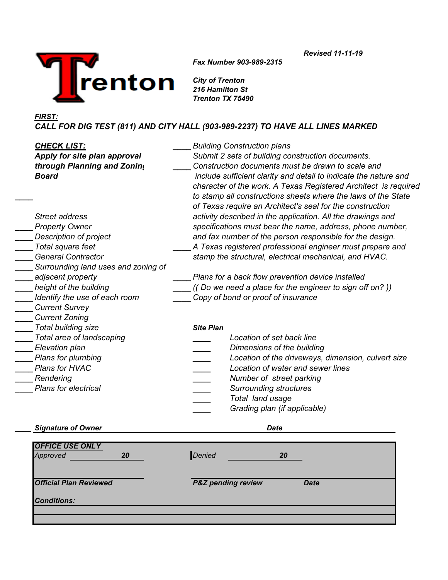

*Fax Number 903-989-2315*

*Revised 11-11-19*

*City of Trenton 216 Hamilton St Trenton TX 75490*

## *FIRST:*

*CALL FOR DIG TEST (811) AND CITY HALL (903-989-2237) TO HAVE ALL LINES MARKED*

| <b>CHECK LIST:</b><br>Apply for site plan approval<br>through Planning and Zoning<br><b>Board</b> | <b>Building Construction plans</b><br>Submit 2 sets of building construction documents.<br>Construction documents must be drawn to scale and<br>include sufficient clarity and detail to indicate the nature and<br>character of the work. A Texas Registered Architect is required<br>to stamp all constructions sheets where the laws of the State |  |  |  |
|---------------------------------------------------------------------------------------------------|------------------------------------------------------------------------------------------------------------------------------------------------------------------------------------------------------------------------------------------------------------------------------------------------------------------------------------------------------|--|--|--|
| Street address<br><b>Property Owner</b>                                                           | of Texas require an Architect's seal for the construction<br>activity described in the application. All the drawings and<br>specifications must bear the name, address, phone number,                                                                                                                                                                |  |  |  |
| Description of project                                                                            | and fax number of the person responsible for the design.                                                                                                                                                                                                                                                                                             |  |  |  |
| Total square feet                                                                                 | A Texas registered professional engineer must prepare and                                                                                                                                                                                                                                                                                            |  |  |  |
| <b>General Contractor</b>                                                                         | stamp the structural, electrical mechanical, and HVAC.                                                                                                                                                                                                                                                                                               |  |  |  |
| Surrounding land uses and zoning of                                                               |                                                                                                                                                                                                                                                                                                                                                      |  |  |  |
| adjacent property                                                                                 | Plans for a back flow prevention device installed                                                                                                                                                                                                                                                                                                    |  |  |  |
| height of the building                                                                            | ((Do we need a place for the engineer to sign off on?))                                                                                                                                                                                                                                                                                              |  |  |  |
| Identify the use of each room                                                                     | Copy of bond or proof of insurance                                                                                                                                                                                                                                                                                                                   |  |  |  |
| <b>Current Survey</b>                                                                             |                                                                                                                                                                                                                                                                                                                                                      |  |  |  |
| <b>Current Zoning</b>                                                                             |                                                                                                                                                                                                                                                                                                                                                      |  |  |  |
| Total building size                                                                               | <b>Site Plan</b>                                                                                                                                                                                                                                                                                                                                     |  |  |  |
| Total area of landscaping                                                                         | Location of set back line                                                                                                                                                                                                                                                                                                                            |  |  |  |
| Elevation plan                                                                                    | Dimensions of the building                                                                                                                                                                                                                                                                                                                           |  |  |  |
| Plans for plumbing                                                                                | Location of the driveways, dimension, culvert size                                                                                                                                                                                                                                                                                                   |  |  |  |
| Plans for HVAC                                                                                    | Location of water and sewer lines                                                                                                                                                                                                                                                                                                                    |  |  |  |
| Rendering                                                                                         | $\equiv$<br>Number of street parking                                                                                                                                                                                                                                                                                                                 |  |  |  |
| <b>Plans for electrical</b>                                                                       | <b>Surrounding structures</b>                                                                                                                                                                                                                                                                                                                        |  |  |  |
|                                                                                                   | Total land usage                                                                                                                                                                                                                                                                                                                                     |  |  |  |
|                                                                                                   | Grading plan (if applicable)                                                                                                                                                                                                                                                                                                                         |  |  |  |

## *\_\_\_\_ Signature of Owner Date*

| <b>OFFICE USE ONLY</b><br>Approved | 20 | Denied |                               | 20          |  |
|------------------------------------|----|--------|-------------------------------|-------------|--|
| <b>Official Plan Reviewed</b>      |    |        | <b>P&amp;Z</b> pending review | <b>Date</b> |  |
| <b>Conditions:</b>                 |    |        |                               |             |  |
|                                    |    |        |                               |             |  |
|                                    |    |        |                               |             |  |